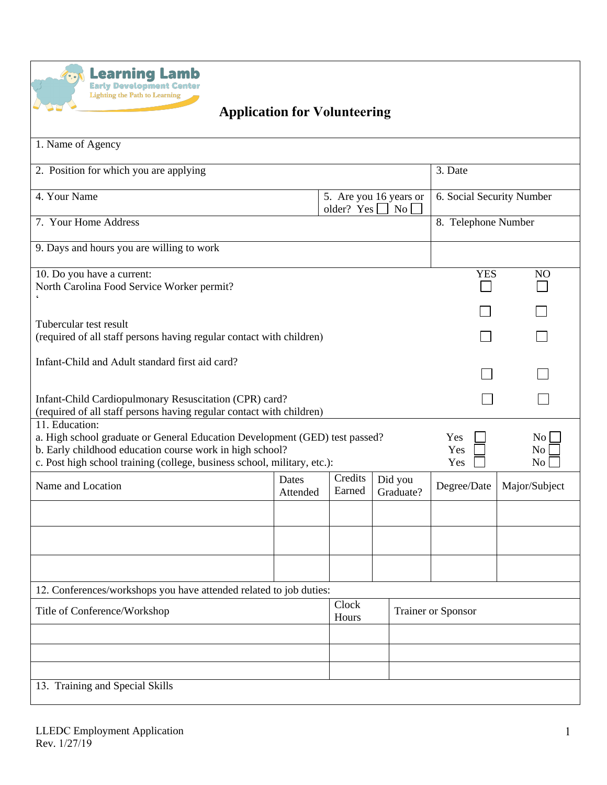

## **Application for Volunteering**

| 1. Name of Agency                                                                                                                                                                                                                     |                   |                   |  |                                          |                           |                              |  |  |
|---------------------------------------------------------------------------------------------------------------------------------------------------------------------------------------------------------------------------------------|-------------------|-------------------|--|------------------------------------------|---------------------------|------------------------------|--|--|
| 2. Position for which you are applying                                                                                                                                                                                                |                   |                   |  |                                          |                           | 3. Date                      |  |  |
| 4. Your Name                                                                                                                                                                                                                          |                   |                   |  | 5. Are you 16 years or<br>N <sub>o</sub> | 6. Social Security Number |                              |  |  |
| older? Yes $\lceil$<br>7. Your Home Address                                                                                                                                                                                           |                   |                   |  |                                          | 8. Telephone Number       |                              |  |  |
| 9. Days and hours you are willing to work                                                                                                                                                                                             |                   |                   |  |                                          |                           |                              |  |  |
| 10. Do you have a current:<br>North Carolina Food Service Worker permit?                                                                                                                                                              |                   |                   |  |                                          |                           | <b>YES</b><br>N <sub>O</sub> |  |  |
|                                                                                                                                                                                                                                       |                   |                   |  |                                          |                           |                              |  |  |
| Tubercular test result<br>(required of all staff persons having regular contact with children)                                                                                                                                        |                   |                   |  |                                          |                           |                              |  |  |
| Infant-Child and Adult standard first aid card?                                                                                                                                                                                       |                   |                   |  |                                          |                           |                              |  |  |
| Infant-Child Cardiopulmonary Resuscitation (CPR) card?<br>(required of all staff persons having regular contact with children)                                                                                                        |                   |                   |  |                                          |                           |                              |  |  |
| 11. Education:<br>a. High school graduate or General Education Development (GED) test passed?<br>b. Early childhood education course work in high school?<br>c. Post high school training (college, business school, military, etc.): |                   |                   |  |                                          |                           | No<br>No<br>No               |  |  |
| Name and Location                                                                                                                                                                                                                     | Dates<br>Attended | Credits<br>Earned |  | Did you<br>Graduate?                     | Degree/Date               | Major/Subject                |  |  |
|                                                                                                                                                                                                                                       |                   |                   |  |                                          |                           |                              |  |  |
|                                                                                                                                                                                                                                       |                   |                   |  |                                          |                           |                              |  |  |
|                                                                                                                                                                                                                                       |                   |                   |  |                                          |                           |                              |  |  |
| 12. Conferences/workshops you have attended related to job duties:                                                                                                                                                                    |                   |                   |  |                                          |                           |                              |  |  |
| Title of Conference/Workshop                                                                                                                                                                                                          |                   | Clock<br>Hours    |  |                                          | <b>Trainer or Sponsor</b> |                              |  |  |
|                                                                                                                                                                                                                                       |                   |                   |  |                                          |                           |                              |  |  |
|                                                                                                                                                                                                                                       |                   |                   |  |                                          |                           |                              |  |  |
| 13. Training and Special Skills                                                                                                                                                                                                       |                   |                   |  |                                          |                           |                              |  |  |
|                                                                                                                                                                                                                                       |                   |                   |  |                                          |                           |                              |  |  |